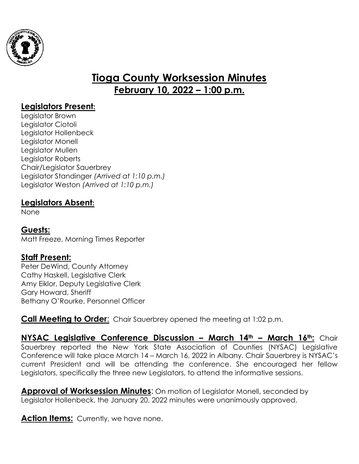

# **Tioga County Worksession Minutes February 10, 2022 – 1:00 p.m.**

## **Legislators Present:**

Legislator Brown Legislator Ciotoli Legislator Hollenbeck Legislator Monell Legislator Mullen Legislator Roberts Chair/Legislator Sauerbrey Legislator Standinger *(Arrived at 1:10 p.m.)* Legislator Weston *(Arrived at 1:10 p.m.)*

### **Legislators Absent:**

None

#### **Guests:**

Matt Freeze, Morning Times Reporter

#### **Staff Present:**

Peter DeWind, County Attorney Cathy Haskell, Legislative Clerk Amy Eiklor, Deputy Legislative Clerk Gary Howard, Sheriff Bethany O'Rourke, Personnel Officer

**Call Meeting to Order:** Chair Sauerbrey opened the meeting at 1:02 p.m.

**NYSAC Legislative Conference Discussion – March 14th – March 16th:** Chair Sauerbrey reported the New York State Association of Counties (NYSAC) Legislative Conference will take place March 14 – March 16, 2022 in Albany. Chair Sauerbrey is NYSAC's current President and will be attending the conference. She encouraged her fellow Legislators, specifically the three new Legislators, to attend the informative sessions.

**Approval of Worksession Minutes**: On motion of Legislator Monell, seconded by Legislator Hollenbeck, the January 20, 2022 minutes were unanimously approved.

**Action Items:** Currently, we have none.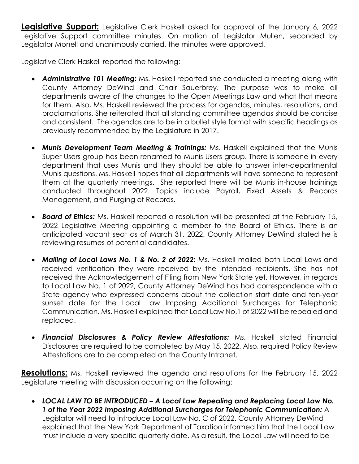**Legislative Support:** Legislative Clerk Haskell asked for approval of the January 6, 2022 Legislative Support committee minutes. On motion of Legislator Mullen, seconded by Legislator Monell and unanimously carried, the minutes were approved.

Legislative Clerk Haskell reported the following:

- *Administrative 101 Meeting:* Ms. Haskell reported she conducted a meeting along with County Attorney DeWind and Chair Sauerbrey. The purpose was to make all departments aware of the changes to the Open Meetings Law and what that means for them. Also, Ms. Haskell reviewed the process for agendas, minutes, resolutions, and proclamations. She reiterated that all standing committee agendas should be concise and consistent. The agendas are to be in a bullet style format with specific headings as previously recommended by the Legislature in 2017.
- *Munis Development Team Meeting & Trainings:* Ms. Haskell explained that the Munis Super Users group has been renamed to Munis Users group. There is someone in every department that uses Munis and they should be able to answer inter-departmental Munis questions. Ms. Haskell hopes that all departments will have someone to represent them at the quarterly meetings. She reported there will be Munis in-house trainings conducted throughout 2022. Topics include Payroll, Fixed Assets & Records Management, and Purging of Records.
- *Board of Ethics:* Ms. Haskell reported a resolution will be presented at the February 15, 2022 Legislative Meeting appointing a member to the Board of Ethics. There is an anticipated vacant seat as of March 31, 2022. County Attorney DeWind stated he is reviewing resumes of potential candidates.
- *Mailing of Local Laws No. 1 & No. 2 of 2022:* Ms. Haskell mailed both Local Laws and received verification they were received by the intended recipients. She has not received the Acknowledgement of Filing from New York State yet. However, in regards to Local Law No. 1 of 2022, County Attorney DeWind has had correspondence with a State agency who expressed concerns about the collection start date and ten-year sunset date for the Local Law Imposing Additional Surcharges for Telephonic Communication. Ms. Haskell explained that Local Law No.1 of 2022 will be repealed and replaced.
- *Financial Disclosures & Policy Review Attestations:* Ms. Haskell stated Financial Disclosures are required to be completed by May 15, 2022. Also, required Policy Review Attestations are to be completed on the County Intranet.

**Resolutions:** Ms. Haskell reviewed the agenda and resolutions for the February 15, 2022 Legislature meeting with discussion occurring on the following:

 *LOCAL LAW TO BE INTRODUCED – A Local Law Repealing and Replacing Local Law No. 1 of the Year 2022 Imposing Additional Surcharges for Telephonic Communication:* A Legislator will need to introduce Local Law No. C of 2022. County Attorney DeWind explained that the New York Department of Taxation informed him that the Local Law must include a very specific quarterly date. As a result, the Local Law will need to be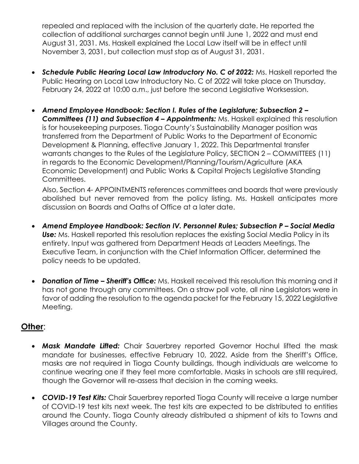repealed and replaced with the inclusion of the quarterly date. He reported the collection of additional surcharges cannot begin until June 1, 2022 and must end August 31, 2031. Ms. Haskell explained the Local Law itself will be in effect until November 3, 2031, but collection must stop as of August 31, 2031.

- *Schedule Public Hearing Local Law Introductory No. C of 2022:* Ms. Haskell reported the Public Hearing on Local Law Introductory No. C of 2022 will take place on Thursday, February 24, 2022 at 10:00 a.m., just before the second Legislative Worksession.
- *Amend Employee Handbook: Section I. Rules of the Legislature; Subsection 2 – Committees (11) and Subsection 4 – Appointments:* Ms. Haskell explained this resolution is for housekeeping purposes. Tioga County's Sustainability Manager position was transferred from the Department of Public Works to the Department of Economic Development & Planning, effective January 1, 2022. This Departmental transfer warrants changes to the Rules of the Legislature Policy, SECTION 2 – COMMITTEES (11) in regards to the Economic Development/Planning/Tourism/Agriculture (AKA Economic Development) and Public Works & Capital Projects Legislative Standing Committees.

Also, Section 4- APPOINTMENTS references committees and boards that were previously abolished but never removed from the policy listing. Ms. Haskell anticipates more discussion on Boards and Oaths of Office at a later date.

- *Amend Employee Handbook: Section IV. Personnel Rules; Subsection P Social Media* **Use:** Ms. Haskell reported this resolution replaces the existing Social Media Policy in its entirety. Input was gathered from Department Heads at Leaders Meetings. The Executive Team, in conjunction with the Chief Information Officer, determined the policy needs to be updated.
- *Donation of Time Sheriff's Office:* Ms. Haskell received this resolution this morning and it has not gone through any committees. On a straw poll vote, all nine Legislators were in favor of adding the resolution to the agenda packet for the February 15, 2022 Legislative Meeting.

## **Other**:

- *Mask Mandate Lifted:* Chair Sauerbrey reported Governor Hochul lifted the mask mandate for businesses, effective February 10, 2022. Aside from the Sheriff's Office, masks are not required in Tioga County buildings, though individuals are welcome to continue wearing one if they feel more comfortable. Masks in schools are still required, though the Governor will re-assess that decision in the coming weeks.
- *COVID-19 Test Kits:* Chair Sauerbrey reported Tioga County will receive a large number of COVID-19 test kits next week. The test kits are expected to be distributed to entities around the County. Tioga County already distributed a shipment of kits to Towns and Villages around the County.